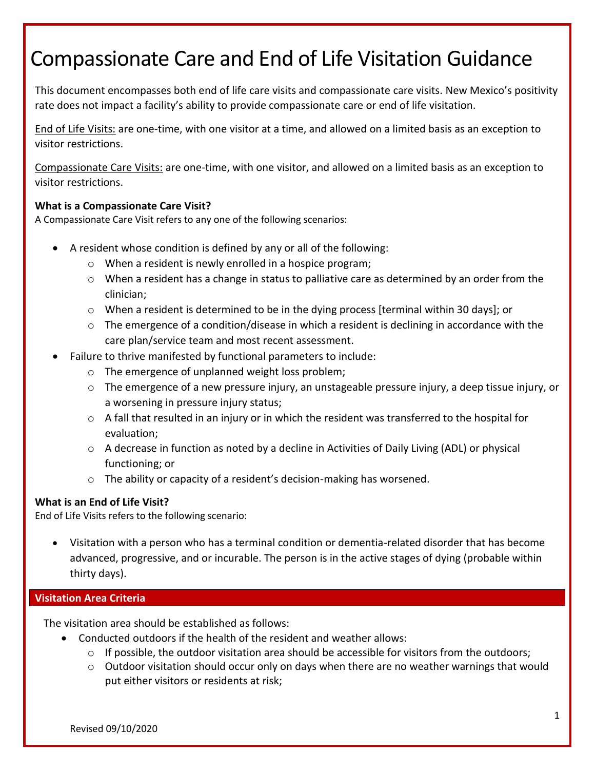# Compassionate Care and End of Life Visitation Guidance

This document encompasses both end of life care visits and compassionate care visits. New Mexico's positivity rate does not impact a facility's ability to provide compassionate care or end of life visitation.

End of Life Visits: are one-time, with one visitor at a time, and allowed on a limited basis as an exception to visitor restrictions.

Compassionate Care Visits: are one-time, with one visitor, and allowed on a limited basis as an exception to visitor restrictions.

# **What is a Compassionate Care Visit?**

A Compassionate Care Visit refers to any one of the following scenarios:

- A resident whose condition is defined by any or all of the following:
	- o When a resident is newly enrolled in a hospice program;
	- $\circ$  When a resident has a change in status to palliative care as determined by an order from the clinician;
	- $\circ$  When a resident is determined to be in the dying process [terminal within 30 days]; or
	- $\circ$  The emergence of a condition/disease in which a resident is declining in accordance with the care plan/service team and most recent assessment.
- Failure to thrive manifested by functional parameters to include:
	- o The emergence of unplanned weight loss problem;
	- $\circ$  The emergence of a new pressure injury, an unstageable pressure injury, a deep tissue injury, or a worsening in pressure injury status;
	- $\circ$  A fall that resulted in an injury or in which the resident was transferred to the hospital for evaluation;
	- o A decrease in function as noted by a decline in Activities of Daily Living (ADL) or physical functioning; or
	- o The ability or capacity of a resident's decision-making has worsened.

# **What is an End of Life Visit?**

End of Life Visits refers to the following scenario:

 Visitation with a person who has a terminal condition or dementia-related disorder that has become advanced, progressive, and or incurable. The person is in the active stages of dying (probable within thirty days).

# **Visitation Area Criteria**

The visitation area should be established as follows:

- Conducted outdoors if the health of the resident and weather allows:
	- $\circ$  If possible, the outdoor visitation area should be accessible for visitors from the outdoors;
	- $\circ$  Outdoor visitation should occur only on days when there are no weather warnings that would put either visitors or residents at risk;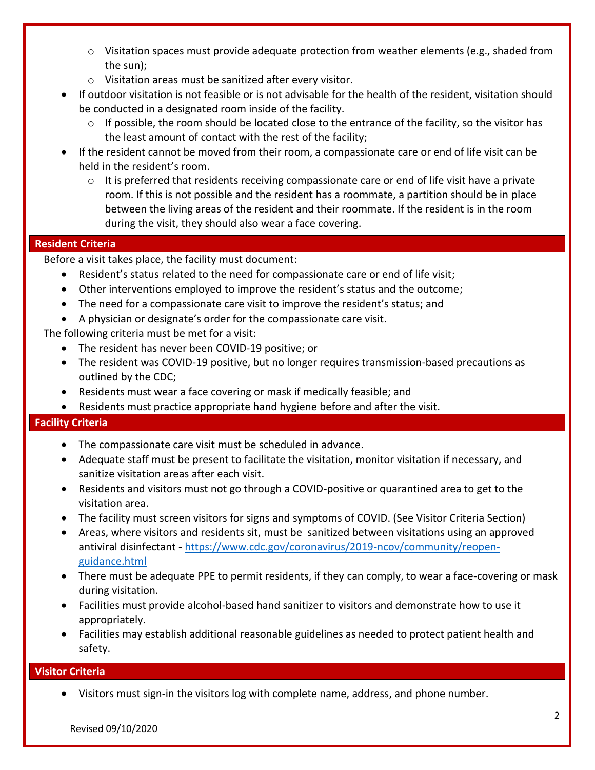- $\circ$  Visitation spaces must provide adequate protection from weather elements (e.g., shaded from the sun);
- o Visitation areas must be sanitized after every visitor.
- If outdoor visitation is not feasible or is not advisable for the health of the resident, visitation should be conducted in a designated room inside of the facility.
	- o If possible, the room should be located close to the entrance of the facility, so the visitor has the least amount of contact with the rest of the facility;
- If the resident cannot be moved from their room, a compassionate care or end of life visit can be held in the resident's room.
	- $\circ$  It is preferred that residents receiving compassionate care or end of life visit have a private room. If this is not possible and the resident has a roommate, a partition should be in place between the living areas of the resident and their roommate. If the resident is in the room during the visit, they should also wear a face covering.

### **Resident Criteria**

Before a visit takes place, the facility must document:

- Resident's status related to the need for compassionate care or end of life visit;
- Other interventions employed to improve the resident's status and the outcome;
- The need for a compassionate care visit to improve the resident's status; and
- A physician or designate's order for the compassionate care visit.

The following criteria must be met for a visit:

- The resident has never been COVID-19 positive; or
- The resident was COVID-19 positive, but no longer requires transmission-based precautions as outlined by the CDC;
- Residents must wear a face covering or mask if medically feasible; and
- Residents must practice appropriate hand hygiene before and after the visit.

# **Facility Criteria**

- The compassionate care visit must be scheduled in advance.
- Adequate staff must be present to facilitate the visitation, monitor visitation if necessary, and sanitize visitation areas after each visit.
- Residents and visitors must not go through a COVID-positive or quarantined area to get to the visitation area.
- The facility must screen visitors for signs and symptoms of COVID. (See Visitor Criteria Section)
- Areas, where visitors and residents sit, must be sanitized between visitations using an approved antiviral disinfectant - [https://www.cdc.gov/coronavirus/2019-ncov/community/reopen](https://www.cdc.gov/coronavirus/2019-ncov/community/reopen-guidance.html)[guidance.html](https://www.cdc.gov/coronavirus/2019-ncov/community/reopen-guidance.html)
- There must be adequate PPE to permit residents, if they can comply, to wear a face-covering or mask during visitation.
- Facilities must provide alcohol-based hand sanitizer to visitors and demonstrate how to use it appropriately.
- Facilities may establish additional reasonable guidelines as needed to protect patient health and safety.

#### **Visitor Criteria**

Visitors must sign-in the visitors log with complete name, address, and phone number.